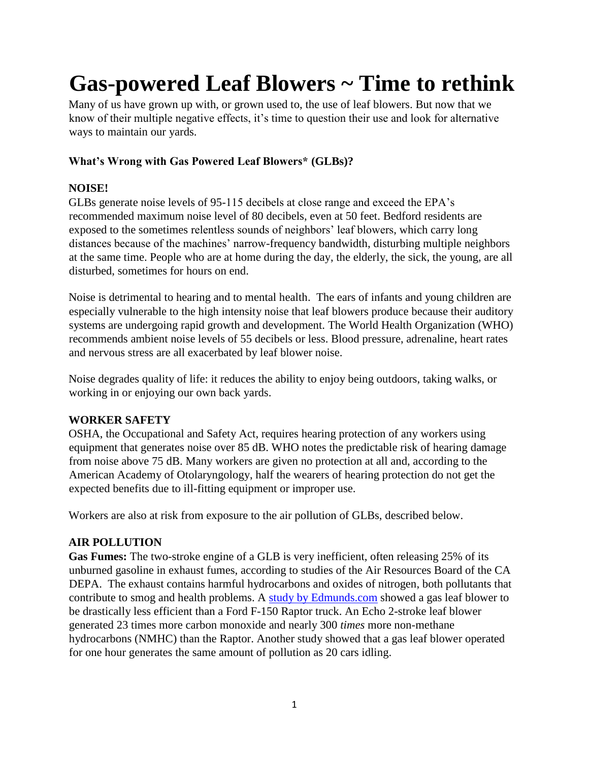# **Gas-powered Leaf Blowers ~ Time to rethink**

Many of us have grown up with, or grown used to, the use of leaf blowers. But now that we know of their multiple negative effects, it's time to question their use and look for alternative ways to maintain our yards.

## **What's Wrong with Gas Powered Leaf Blowers\* (GLBs)?**

## **NOISE!**

GLBs generate noise levels of 95-115 decibels at close range and exceed the EPA's recommended maximum noise level of 80 decibels, even at 50 feet. Bedford residents are exposed to the sometimes relentless sounds of neighbors' leaf blowers, which carry long distances because of the machines' narrow-frequency bandwidth, disturbing multiple neighbors at the same time. People who are at home during the day, the elderly, the sick, the young, are all disturbed, sometimes for hours on end.

Noise is detrimental to hearing and to mental health. The ears of infants and young children are especially vulnerable to the high intensity noise that leaf blowers produce because their auditory systems are undergoing rapid growth and development. The World Health Organization (WHO) recommends ambient noise levels of 55 decibels or less. Blood pressure, adrenaline, heart rates and nervous stress are all exacerbated by leaf blower noise.

Noise degrades quality of life: it reduces the ability to enjoy being outdoors, taking walks, or working in or enjoying our own back yards.

## **WORKER SAFETY**

OSHA, the Occupational and Safety Act, requires hearing protection of any workers using equipment that generates noise over 85 dB. WHO notes the predictable risk of hearing damage from noise above 75 dB. Many workers are given no protection at all and, according to the American Academy of Otolaryngology, half the wearers of hearing protection do not get the expected benefits due to ill-fitting equipment or improper use.

Workers are also at risk from exposure to the air pollution of GLBs, described below.

## **AIR POLLUTION**

**Gas Fumes:** The two-stroke engine of a GLB is very inefficient, often releasing 25% of its unburned gasoline in exhaust fumes, according to studies of the Air Resources Board of the CA DEPA. The exhaust contains harmful hydrocarbons and oxides of nitrogen, both pollutants that contribute to smog and health problems. A [study by Edmunds.com](https://www.edmunds.com/about/press/leaf-blowers-emissions-dirtier-than-high-performance-pick-up-trucks-says-edmunds-insidelinecom.html) showed a gas leaf blower to be drastically less efficient than a Ford F-150 Raptor truck. An Echo 2-stroke leaf blower generated 23 times more carbon monoxide and nearly 300 *times* more non-methane hydrocarbons (NMHC) than the Raptor. Another study showed that a gas leaf blower operated for one hour generates the same amount of pollution as 20 cars idling.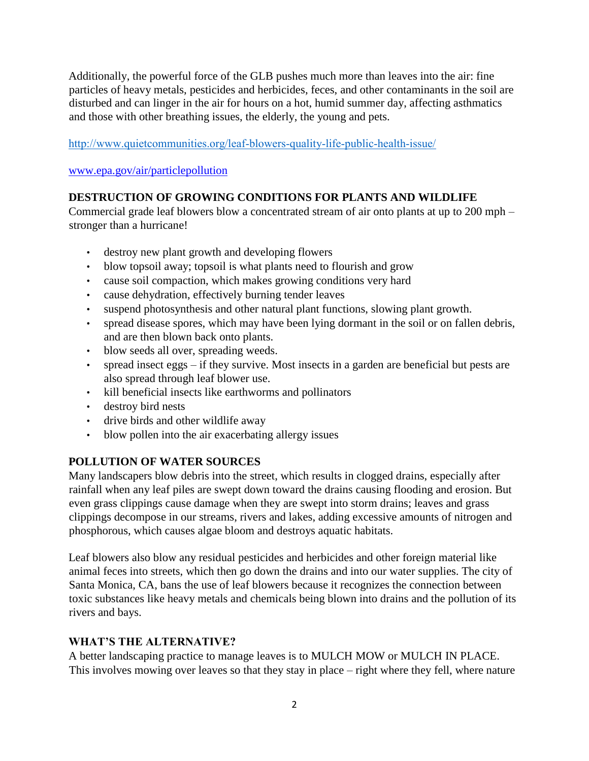Additionally, the powerful force of the GLB pushes much more than leaves into the air: fine particles of heavy metals, pesticides and herbicides, feces, and other contaminants in the soil are disturbed and can linger in the air for hours on a hot, humid summer day, affecting asthmatics and those with other breathing issues, the elderly, the young and pets.

<http://www.quietcommunities.org/leaf-blowers-quality-life-public-health-issue/>

[www.epa.gov/air/particlepollution](http://www.epa.gov/air/particlepollution)

#### **DESTRUCTION OF GROWING CONDITIONS FOR PLANTS AND WILDLIFE**

Commercial grade leaf blowers blow a concentrated stream of air onto plants at up to 200 mph – stronger than a hurricane!

- destroy new plant growth and developing flowers
- blow topsoil away; topsoil is what plants need to flourish and grow
- cause soil compaction, which makes growing conditions very hard
- cause dehydration, effectively burning tender leaves
- suspend photosynthesis and other natural plant functions, slowing plant growth.
- spread disease spores, which may have been lying dormant in the soil or on fallen debris, and are then blown back onto plants.
- blow seeds all over, spreading weeds.
- spread insect eggs if they survive. Most insects in a garden are beneficial but pests are also spread through leaf blower use.
- kill beneficial insects like earthworms and pollinators
- destroy bird nests
- drive birds and other wildlife away
- blow pollen into the air exacerbating allergy issues

## **POLLUTION OF WATER SOURCES**

Many landscapers blow debris into the street, which results in clogged drains, especially after rainfall when any leaf piles are swept down toward the drains causing flooding and erosion. But even grass clippings cause damage when they are swept into storm drains; leaves and grass clippings decompose in our streams, rivers and lakes, adding excessive amounts of nitrogen and phosphorous, which causes algae bloom and destroys aquatic habitats.

Leaf blowers also blow any residual pesticides and herbicides and other foreign material like animal feces into streets, which then go down the drains and into our water supplies. The city of Santa Monica, CA, bans the use of leaf blowers because it recognizes the connection between toxic substances like heavy metals and chemicals being blown into drains and the pollution of its rivers and bays.

## **WHAT'S THE ALTERNATIVE?**

A better landscaping practice to manage leaves is to MULCH MOW or MULCH IN PLACE. This involves mowing over leaves so that they stay in place – right where they fell, where nature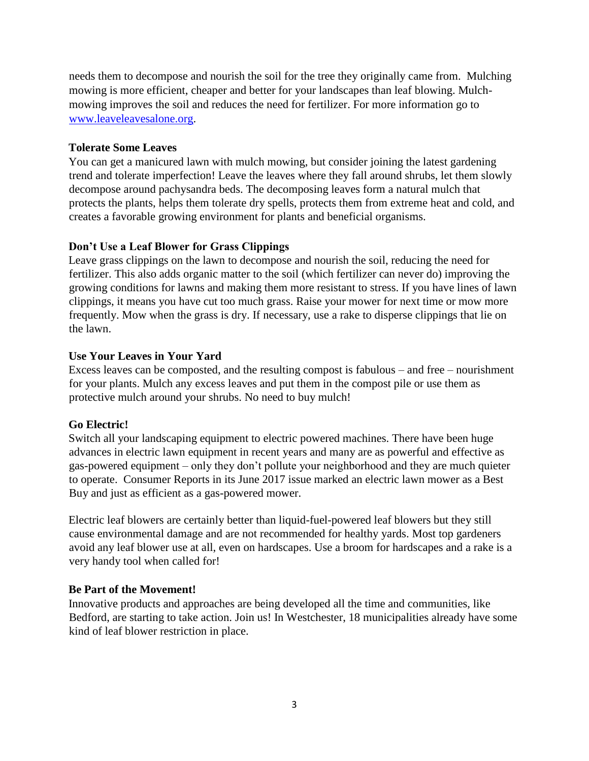needs them to decompose and nourish the soil for the tree they originally came from. Mulching mowing is more efficient, cheaper and better for your landscapes than leaf blowing. Mulchmowing improves the soil and reduces the need for fertilizer. For more information go to [www.leaveleavesalone.org.](http://www.leaveleavesalone.org/)

#### **Tolerate Some Leaves**

You can get a manicured lawn with mulch mowing, but consider joining the latest gardening trend and tolerate imperfection! Leave the leaves where they fall around shrubs, let them slowly decompose around pachysandra beds. The decomposing leaves form a natural mulch that protects the plants, helps them tolerate dry spells, protects them from extreme heat and cold, and creates a favorable growing environment for plants and beneficial organisms.

#### **Don't Use a Leaf Blower for Grass Clippings**

Leave grass clippings on the lawn to decompose and nourish the soil, reducing the need for fertilizer. This also adds organic matter to the soil (which fertilizer can never do) improving the growing conditions for lawns and making them more resistant to stress. If you have lines of lawn clippings, it means you have cut too much grass. Raise your mower for next time or mow more frequently. Mow when the grass is dry. If necessary, use a rake to disperse clippings that lie on the lawn.

#### **Use Your Leaves in Your Yard**

Excess leaves can be composted, and the resulting compost is fabulous – and free – nourishment for your plants. Mulch any excess leaves and put them in the compost pile or use them as protective mulch around your shrubs. No need to buy mulch!

#### **Go Electric!**

Switch all your landscaping equipment to electric powered machines. There have been huge advances in electric lawn equipment in recent years and many are as powerful and effective as gas-powered equipment – only they don't pollute your neighborhood and they are much quieter to operate. Consumer Reports in its June 2017 issue marked an electric lawn mower as a Best Buy and just as efficient as a gas-powered mower.

Electric leaf blowers are certainly better than liquid-fuel-powered leaf blowers but they still cause environmental damage and are not recommended for healthy yards. Most top gardeners avoid any leaf blower use at all, even on hardscapes. Use a broom for hardscapes and a rake is a very handy tool when called for!

#### **Be Part of the Movement!**

Innovative products and approaches are being developed all the time and communities, like Bedford, are starting to take action. Join us! In Westchester, 18 municipalities already have some kind of leaf blower restriction in place.